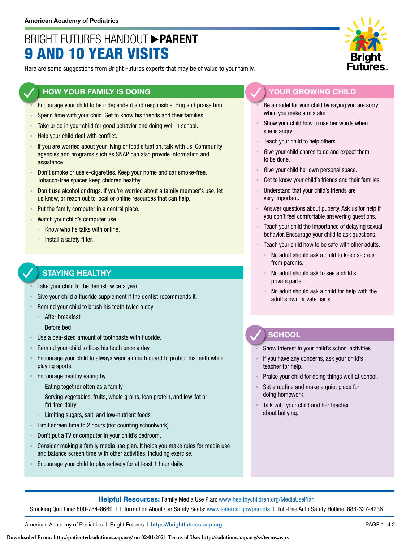# BRIGHT FUTURES HANDOUT **PARENT** 9 AND 10 YEAR VISITS

Here are some suggestions from Bright Futures experts that may be of value to your family.

#### **HOW YOUR FAMILY IS DOING**

- Encourage your child to be independent and responsible. Hug and praise him.
- Spend time with your child. Get to know his friends and their families.
- Take pride in your child for good behavior and doing well in school.
- Help your child deal with conflict.
- If you are worried about your living or food situation, talk with us. Community agencies and programs such as SNAP can also provide information and assistance.
- Don't smoke or use e-cigarettes. Keep your home and car smoke-free. Tobacco-free spaces keep children healthy.
- Don't use alcohol or drugs. If you're worried about a family member's use, let us know, or reach out to local or online resources that can help.
- Put the family computer in a central place.
- Watch your child's computer use.
	- Know who he talks with online.
	- Install a safety filter.

### **STAYING HEALTHY**

- Take your child to the dentist twice a year.
- Give your child a fluoride supplement if the dentist recommends it.
- Remind your child to brush his teeth twice a day
	- After breakfast
	- Before bed
- Use a pea-sized amount of toothpaste with fluoride.
- Remind your child to floss his teeth once a day.
- **Encourage your child to always wear a mouth guard to protect his teeth while** playing sports.
- Encourage healthy eating by
	- Eating together often as a family
	- Serving vegetables, fruits, whole grains, lean protein, and low-fat or fat-free dairy
	- Limiting sugars, salt, and low-nutrient foods
- Limit screen time to 2 hours (not counting schoolwork).
- Don't put a TV or computer in your child's bedroom.
- Consider making a family media use plan. It helps you make rules for media use and balance screen time with other activities, including exercise.
- Encourage your child to play actively for at least 1 hour daily.



#### **YOUR GROWING CHILD**

- Be a model for your child by saying you are sorry when you make a mistake.
- Show your child how to use her words when she is angry.
- Teach your child to help others.
- Give your child chores to do and expect them to be done.
- Give your child her own personal space.
- Get to know your child's friends and their families.
- Understand that your child's friends are very important.
- Answer questions about puberty. Ask us for help if you don't feel comfortable answering questions.
- Teach your child the importance of delaying sexual behavior. Encourage your child to ask questions.
- Teach your child how to be safe with other adults.
	- No adult should ask a child to keep secrets from parents.
	- No adult should ask to see a child's private parts.
	- No adult should ask a child for help with the adult's own private parts.

## **SCHOOL**

Show interest in your child's school activities.

- If you have any concerns, ask your child's teacher for help.
- Praise your child for doing things well at school.
- Set a routine and make a quiet place for doing homework.
- Talk with your child and her teacher about bullying.

**Helpful Resources:** Family Media Use Plan: [www.healthychildren.org/MediaUsePlan](https://www.healthychildren.org/English/media/Pages/default.aspx)

Smoking Quit Line: 800-784-8669 | Information About Car Safety Seats: [www.safercar.gov/parents](https://www.nhtsa.gov/parents-and-caregivers) | Toll-free Auto Safety Hotline: 888-327-4236

American Academy of Pediatrics | Bright Futures | https://[brightfutures.aap.org](https://brightfutures.aap.org/Pages/default.aspx) PAGE 1 of 2